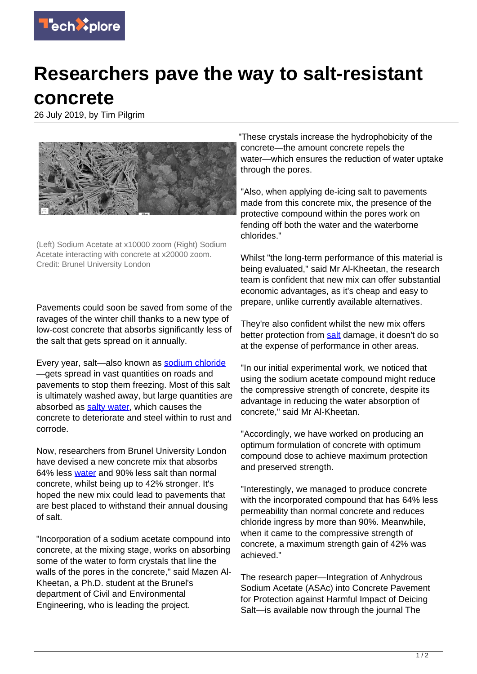

## **Researchers pave the way to salt-resistant concrete**

26 July 2019, by Tim Pilgrim



(Left) Sodium Acetate at x10000 zoom (Right) Sodium Acetate interacting with concrete at x20000 zoom. Credit: Brunel University London

Pavements could soon be saved from some of the ravages of the winter chill thanks to a new type of low-cost concrete that absorbs significantly less of the salt that gets spread on it annually.

Every year, salt-also known as [sodium chloride](https://techxplore.com/tags/sodium+chloride/) —gets spread in vast quantities on roads and pavements to stop them freezing. Most of this salt is ultimately washed away, but large quantities are absorbed as [salty water,](https://techxplore.com/tags/salty+water/) which causes the concrete to deteriorate and steel within to rust and corrode.

Now, researchers from Brunel University London have devised a new concrete mix that absorbs 64% less [water](https://techxplore.com/tags/water/) and 90% less salt than normal concrete, whilst being up to 42% stronger. It's hoped the new mix could lead to pavements that are best placed to withstand their annual dousing of salt.

"Incorporation of a sodium acetate compound into concrete, at the mixing stage, works on absorbing some of the water to form crystals that line the walls of the pores in the concrete," said Mazen Al-Kheetan, a Ph.D. student at the Brunel's department of Civil and Environmental Engineering, who is leading the project.

"These crystals increase the hydrophobicity of the concrete—the amount concrete repels the water—which ensures the reduction of water uptake through the pores.

"Also, when applying de-icing salt to pavements made from this concrete mix, the presence of the protective compound within the pores work on fending off both the water and the waterborne chlorides."

Whilst "the long-term performance of this material is being evaluated," said Mr Al-Kheetan, the research team is confident that new mix can offer substantial economic advantages, as it's cheap and easy to prepare, unlike currently available alternatives.

They're also confident whilst the new mix offers better protection from [salt](https://techxplore.com/tags/salt/) damage, it doesn't do so at the expense of performance in other areas.

"In our initial experimental work, we noticed that using the sodium acetate compound might reduce the compressive strength of concrete, despite its advantage in reducing the water absorption of concrete," said Mr Al-Kheetan.

"Accordingly, we have worked on producing an optimum formulation of concrete with optimum compound dose to achieve maximum protection and preserved strength.

"Interestingly, we managed to produce concrete with the incorporated compound that has 64% less permeability than normal concrete and reduces chloride ingress by more than 90%. Meanwhile, when it came to the compressive strength of concrete, a maximum strength gain of 42% was achieved."

The research paper—Integration of Anhydrous Sodium Acetate (ASAc) into Concrete Pavement for Protection against Harmful Impact of Deicing Salt—is available now through the journal The